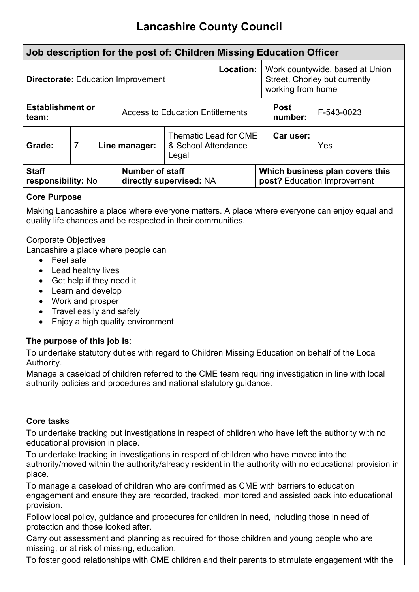# **Lancashire County Council**

| Job description for the post of: Children Missing Education Officer                                                                                                                                                                                                                                                      |                                                                                                 |  |                                         |                         |                                                                                       |            |                                                                |
|--------------------------------------------------------------------------------------------------------------------------------------------------------------------------------------------------------------------------------------------------------------------------------------------------------------------------|-------------------------------------------------------------------------------------------------|--|-----------------------------------------|-------------------------|---------------------------------------------------------------------------------------|------------|----------------------------------------------------------------|
| <b>Directorate: Education Improvement</b>                                                                                                                                                                                                                                                                                |                                                                                                 |  |                                         | Location:               | Work countywide, based at Union<br>Street, Chorley but currently<br>working from home |            |                                                                |
| <b>Establishment or</b><br>team:                                                                                                                                                                                                                                                                                         |                                                                                                 |  | <b>Access to Education Entitlements</b> |                         | <b>Post</b><br>number:                                                                | F-543-0023 |                                                                |
| Grade:                                                                                                                                                                                                                                                                                                                   | <b>Thematic Lead for CME</b><br>$\overline{7}$<br>Line manager:<br>& School Attendance<br>Legal |  |                                         | Car user:               | Yes                                                                                   |            |                                                                |
| <b>Staff</b><br>responsibility: No                                                                                                                                                                                                                                                                                       |                                                                                                 |  | <b>Number of staff</b>                  | directly supervised: NA |                                                                                       |            | Which business plan covers this<br>post? Education Improvement |
| <b>Core Purpose</b>                                                                                                                                                                                                                                                                                                      |                                                                                                 |  |                                         |                         |                                                                                       |            |                                                                |
| Making Lancashire a place where everyone matters. A place where everyone can enjoy equal and<br>quality life chances and be respected in their communities.                                                                                                                                                              |                                                                                                 |  |                                         |                         |                                                                                       |            |                                                                |
| <b>Corporate Objectives</b><br>Lancashire a place where people can<br>Feel safe<br>$\bullet$<br>Lead healthy lives<br>$\bullet$<br>Get help if they need it<br>$\bullet$<br>Learn and develop<br>$\bullet$<br>Work and prosper<br>$\bullet$<br>Travel easily and safely<br>$\bullet$<br>Enjoy a high quality environment |                                                                                                 |  |                                         |                         |                                                                                       |            |                                                                |
| The purpose of this job is:                                                                                                                                                                                                                                                                                              |                                                                                                 |  |                                         |                         |                                                                                       |            |                                                                |

To undertake statutory duties with regard to Children Missing Education on behalf of the Local Authority.

Manage a caseload of children referred to the CME team requiring investigation in line with local authority policies and procedures and national statutory guidance.

# **Core tasks**

To undertake tracking out investigations in respect of children who have left the authority with no educational provision in place.

To undertake tracking in investigations in respect of children who have moved into the authority/moved within the authority/already resident in the authority with no educational provision in place.

To manage a caseload of children who are confirmed as CME with barriers to education engagement and ensure they are recorded, tracked, monitored and assisted back into educational provision.

Follow local policy, guidance and procedures for children in need, including those in need of protection and those looked after.

Carry out assessment and planning as required for those children and young people who are missing, or at risk of missing, education.

To foster good relationships with CME children and their parents to stimulate engagement with the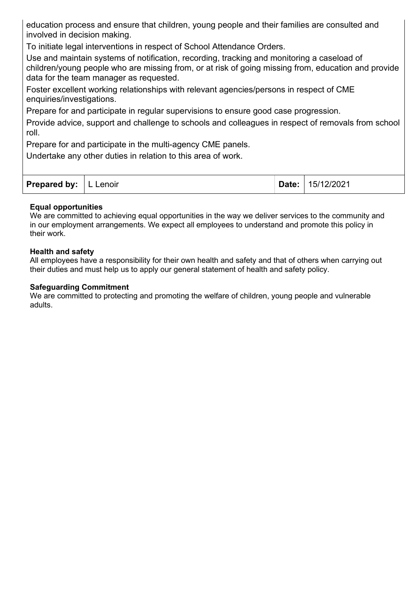education process and ensure that children, young people and their families are consulted and involved in decision making.

To initiate legal interventions in respect of School Attendance Orders.

Use and maintain systems of notification, recording, tracking and monitoring a caseload of children/young people who are missing from, or at risk of going missing from, education and provide data for the team manager as requested.

Foster excellent working relationships with relevant agencies/persons in respect of CME enquiries/investigations.

Prepare for and participate in regular supervisions to ensure good case progression.

Provide advice, support and challenge to schools and colleagues in respect of removals from school roll.

Prepare for and participate in the multi-agency CME panels.

Undertake any other duties in relation to this area of work.

| <b>Prepared by:</b>   L Lenoir |  |  | Date: 15/12/2021 |
|--------------------------------|--|--|------------------|
|--------------------------------|--|--|------------------|

#### **Equal opportunities**

We are committed to achieving equal opportunities in the way we deliver services to the community and in our employment arrangements. We expect all employees to understand and promote this policy in their work.

#### **Health and safety**

All employees have a responsibility for their own health and safety and that of others when carrying out their duties and must help us to apply our general statement of health and safety policy.

#### **Safeguarding Commitment**

We are committed to protecting and promoting the welfare of children, young people and vulnerable adults.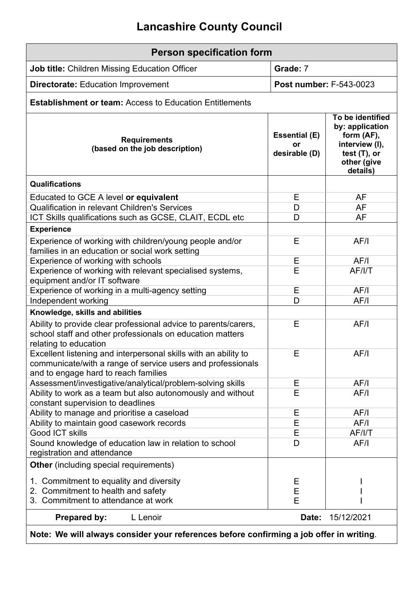# **Lancashire County Council**

| <b>Person specification form</b>                                                                                                                                       |                                             |                                                                                                                   |  |
|------------------------------------------------------------------------------------------------------------------------------------------------------------------------|---------------------------------------------|-------------------------------------------------------------------------------------------------------------------|--|
| <b>Job title: Children Missing Education Officer</b>                                                                                                                   | Grade: 7                                    |                                                                                                                   |  |
| <b>Directorate: Education Improvement</b>                                                                                                                              | Post number: F-543-0023                     |                                                                                                                   |  |
| <b>Establishment or team: Access to Education Entitlements</b>                                                                                                         |                                             |                                                                                                                   |  |
| <b>Requirements</b><br>(based on the job description)                                                                                                                  | <b>Essential (E)</b><br>or<br>desirable (D) | To be identified<br>by: application<br>form (AF),<br>interview (I),<br>test $(T)$ , or<br>other (give<br>details) |  |
| Qualifications                                                                                                                                                         |                                             |                                                                                                                   |  |
| Educated to GCE A level or equivalent                                                                                                                                  | Е                                           | AF                                                                                                                |  |
| <b>Qualification in relevant Children's Services</b>                                                                                                                   | D                                           | <b>AF</b>                                                                                                         |  |
| ICT Skills qualifications such as GCSE, CLAIT, ECDL etc                                                                                                                | D                                           | <b>AF</b>                                                                                                         |  |
| <b>Experience</b>                                                                                                                                                      |                                             |                                                                                                                   |  |
| Experience of working with children/young people and/or<br>families in an education or social work setting                                                             | E                                           | AF/I                                                                                                              |  |
| Experience of working with schools                                                                                                                                     | Е                                           | AF/I                                                                                                              |  |
| Experience of working with relevant specialised systems,<br>equipment and/or IT software                                                                               | E                                           | AF/I/T                                                                                                            |  |
| Experience of working in a multi-agency setting                                                                                                                        | E                                           | AF/I                                                                                                              |  |
| Independent working                                                                                                                                                    | D                                           | AF/I                                                                                                              |  |
| Knowledge, skills and abilities                                                                                                                                        |                                             |                                                                                                                   |  |
| Ability to provide clear professional advice to parents/carers,<br>school staff and other professionals on education matters<br>relating to education                  | Е                                           | AF/I                                                                                                              |  |
| Excellent listening and interpersonal skills with an ability to<br>communicate/with a range of service users and professionals<br>and to engage hard to reach families | Е                                           | AF/I                                                                                                              |  |
| Assessment/investigative/analytical/problem-solving skills                                                                                                             | Е                                           | AF/I                                                                                                              |  |
| Ability to work as a team but also autonomously and without<br>constant supervision to deadlines                                                                       | E                                           | AF/I                                                                                                              |  |
| Ability to manage and prioritise a caseload                                                                                                                            | Ε                                           | AF/I                                                                                                              |  |
| Ability to maintain good casework records                                                                                                                              | E                                           | AF/I                                                                                                              |  |
| <b>Good ICT skills</b>                                                                                                                                                 | Е                                           | AF/I/T                                                                                                            |  |
| Sound knowledge of education law in relation to school<br>registration and attendance                                                                                  | D                                           | AF/I                                                                                                              |  |
| <b>Other</b> (including special requirements)                                                                                                                          |                                             |                                                                                                                   |  |
| 1. Commitment to equality and diversity                                                                                                                                | Е                                           |                                                                                                                   |  |
| 2. Commitment to health and safety                                                                                                                                     | E                                           |                                                                                                                   |  |
| 3. Commitment to attendance at work                                                                                                                                    | E                                           |                                                                                                                   |  |
| <b>Prepared by:</b><br>L Lenoir                                                                                                                                        | Date:                                       | 15/12/2021                                                                                                        |  |

**Note: We will always consider your references before confirming a job offer in writing**.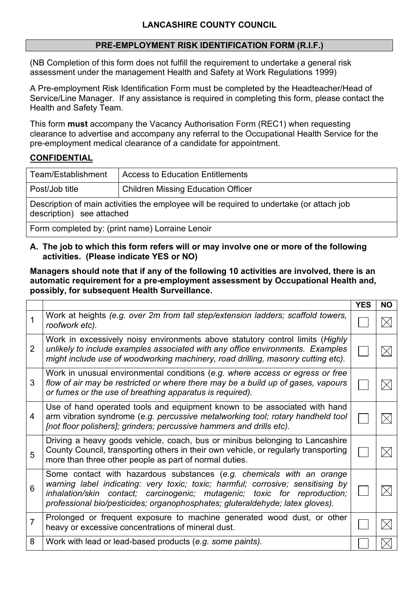#### **PRE-EMPLOYMENT RISK IDENTIFICATION FORM (R.I.F.)**

(NB Completion of this form does not fulfill the requirement to undertake a general risk assessment under the management Health and Safety at Work Regulations 1999)

A Pre-employment Risk Identification Form must be completed by the Headteacher/Head of Service/Line Manager. If any assistance is required in completing this form, please contact the Health and Safety Team.

This form **must** accompany the Vacancy Authorisation Form (REC1) when requesting clearance to advertise and accompany any referral to the Occupational Health Service for the pre-employment medical clearance of a candidate for appointment.

### **CONFIDENTIAL**

| Team/Establishment                                                                                                    | <b>Access to Education Entitlements</b>   |  |  |  |
|-----------------------------------------------------------------------------------------------------------------------|-------------------------------------------|--|--|--|
| Post/Job title                                                                                                        | <b>Children Missing Education Officer</b> |  |  |  |
| Description of main activities the employee will be required to undertake (or attach job<br>description) see attached |                                           |  |  |  |
|                                                                                                                       |                                           |  |  |  |

Form completed by: (print name) Lorraine Lenoir

#### **A. The job to which this form refers will or may involve one or more of the following activities. (Please indicate YES or NO)**

#### **Managers should note that if any of the following 10 activities are involved, there is an automatic requirement for a pre-employment assessment by Occupational Health and, possibly, for subsequent Health Surveillance.**

|   |                                                                                                                                                                                                                                                                                                                        | <b>YES</b> | <b>NO</b> |
|---|------------------------------------------------------------------------------------------------------------------------------------------------------------------------------------------------------------------------------------------------------------------------------------------------------------------------|------------|-----------|
| 1 | Work at heights (e.g. over 2m from tall step/extension ladders; scaffold towers,<br>roofwork etc).                                                                                                                                                                                                                     |            |           |
| 2 | Work in excessively noisy environments above statutory control limits (Highly<br>unlikely to include examples associated with any office environments. Examples<br>might include use of woodworking machinery, road drilling, masonry cutting etc).                                                                    |            |           |
| 3 | Work in unusual environmental conditions (e.g. where access or egress or free<br>flow of air may be restricted or where there may be a build up of gases, vapours<br>or fumes or the use of breathing apparatus is required).                                                                                          |            |           |
| 4 | Use of hand operated tools and equipment known to be associated with hand<br>arm vibration syndrome (e.g. percussive metalworking tool; rotary handheld tool<br>[not floor polishers]; grinders; percussive hammers and drills etc).                                                                                   |            |           |
| 5 | Driving a heavy goods vehicle, coach, bus or minibus belonging to Lancashire<br>County Council, transporting others in their own vehicle, or regularly transporting<br>more than three other people as part of normal duties.                                                                                          |            |           |
| 6 | Some contact with hazardous substances (e.g. chemicals with an orange<br>warning label indicating: very toxic; toxic; harmful; corrosive; sensitising by<br>inhalation/skin contact; carcinogenic; mutagenic; toxic for reproduction;<br>professional bio/pesticides; organophosphates; gluteraldehyde; latex gloves). |            |           |
| 7 | Prolonged or frequent exposure to machine generated wood dust, or other<br>heavy or excessive concentrations of mineral dust.                                                                                                                                                                                          |            |           |
| 8 | Work with lead or lead-based products (e.g. some paints).                                                                                                                                                                                                                                                              |            |           |